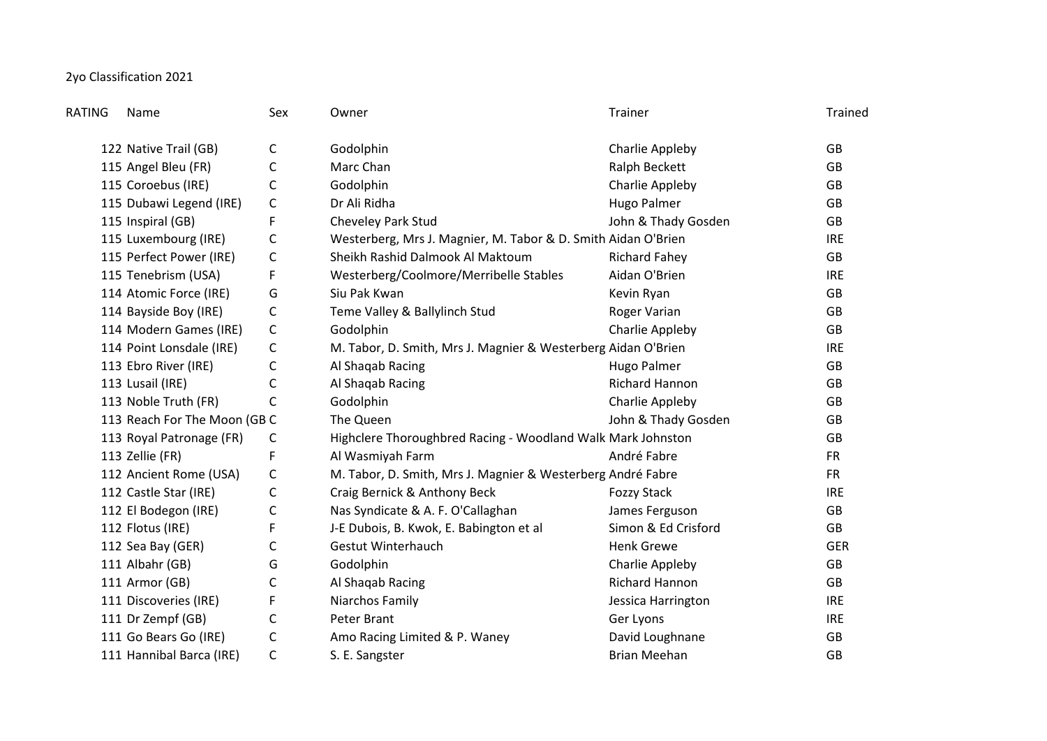## 2yo Classification 2021

| <b>RATING</b> | Name                         | Sex | Owner                                                         | Trainer               | Trained    |
|---------------|------------------------------|-----|---------------------------------------------------------------|-----------------------|------------|
|               | 122 Native Trail (GB)        | C   | Godolphin                                                     | Charlie Appleby       | <b>GB</b>  |
|               | 115 Angel Bleu (FR)          | C   | Marc Chan                                                     | Ralph Beckett         | <b>GB</b>  |
|               | 115 Coroebus (IRE)           | C   | Godolphin                                                     | Charlie Appleby       | <b>GB</b>  |
|               | 115 Dubawi Legend (IRE)      | C   | Dr Ali Ridha                                                  | Hugo Palmer           | <b>GB</b>  |
|               | 115 Inspiral (GB)            | F   | Cheveley Park Stud                                            | John & Thady Gosden   | GB         |
|               | 115 Luxembourg (IRE)         | C   | Westerberg, Mrs J. Magnier, M. Tabor & D. Smith Aidan O'Brien |                       | <b>IRE</b> |
|               | 115 Perfect Power (IRE)      | C   | Sheikh Rashid Dalmook Al Maktoum                              | <b>Richard Fahey</b>  | GB         |
|               | 115 Tenebrism (USA)          | F   | Westerberg/Coolmore/Merribelle Stables                        | Aidan O'Brien         | <b>IRE</b> |
|               | 114 Atomic Force (IRE)       | G   | Siu Pak Kwan                                                  | Kevin Ryan            | <b>GB</b>  |
|               | 114 Bayside Boy (IRE)        | C   | Teme Valley & Ballylinch Stud                                 | Roger Varian          | <b>GB</b>  |
|               | 114 Modern Games (IRE)       | C   | Godolphin                                                     | Charlie Appleby       | <b>GB</b>  |
|               | 114 Point Lonsdale (IRE)     | C   | M. Tabor, D. Smith, Mrs J. Magnier & Westerberg Aidan O'Brien |                       | <b>IRE</b> |
|               | 113 Ebro River (IRE)         | С   | Al Shaqab Racing                                              | Hugo Palmer           | <b>GB</b>  |
|               | 113 Lusail (IRE)             | C   | Al Shaqab Racing                                              | <b>Richard Hannon</b> | <b>GB</b>  |
|               | 113 Noble Truth (FR)         | C   | Godolphin                                                     | Charlie Appleby       | GB         |
|               | 113 Reach For The Moon (GB C |     | The Queen                                                     | John & Thady Gosden   | GB         |
|               | 113 Royal Patronage (FR)     | C   | Highclere Thoroughbred Racing - Woodland Walk Mark Johnston   |                       | <b>GB</b>  |
|               | 113 Zellie (FR)              | F   | Al Wasmiyah Farm                                              | André Fabre           | <b>FR</b>  |
|               | 112 Ancient Rome (USA)       | C   | M. Tabor, D. Smith, Mrs J. Magnier & Westerberg André Fabre   |                       | <b>FR</b>  |
|               | 112 Castle Star (IRE)        | C   | Craig Bernick & Anthony Beck                                  | <b>Fozzy Stack</b>    | <b>IRE</b> |
|               | 112 El Bodegon (IRE)         | С   | Nas Syndicate & A. F. O'Callaghan                             | James Ferguson        | <b>GB</b>  |
|               | 112 Flotus (IRE)             | F   | J-E Dubois, B. Kwok, E. Babington et al                       | Simon & Ed Crisford   | <b>GB</b>  |
|               | 112 Sea Bay (GER)            | C   | Gestut Winterhauch                                            | <b>Henk Grewe</b>     | <b>GER</b> |
|               | 111 Albahr (GB)              | G   | Godolphin                                                     | Charlie Appleby       | <b>GB</b>  |
|               | 111 Armor (GB)               | C   | Al Shaqab Racing                                              | <b>Richard Hannon</b> | <b>GB</b>  |
|               | 111 Discoveries (IRE)        | F   | Niarchos Family                                               | Jessica Harrington    | <b>IRE</b> |
|               | 111 Dr Zempf (GB)            | C   | Peter Brant                                                   | Ger Lyons             | <b>IRE</b> |
|               | 111 Go Bears Go (IRE)        | C   | Amo Racing Limited & P. Waney                                 | David Loughnane       | GB         |
|               | 111 Hannibal Barca (IRE)     | C   | S. E. Sangster                                                | <b>Brian Meehan</b>   | GB         |